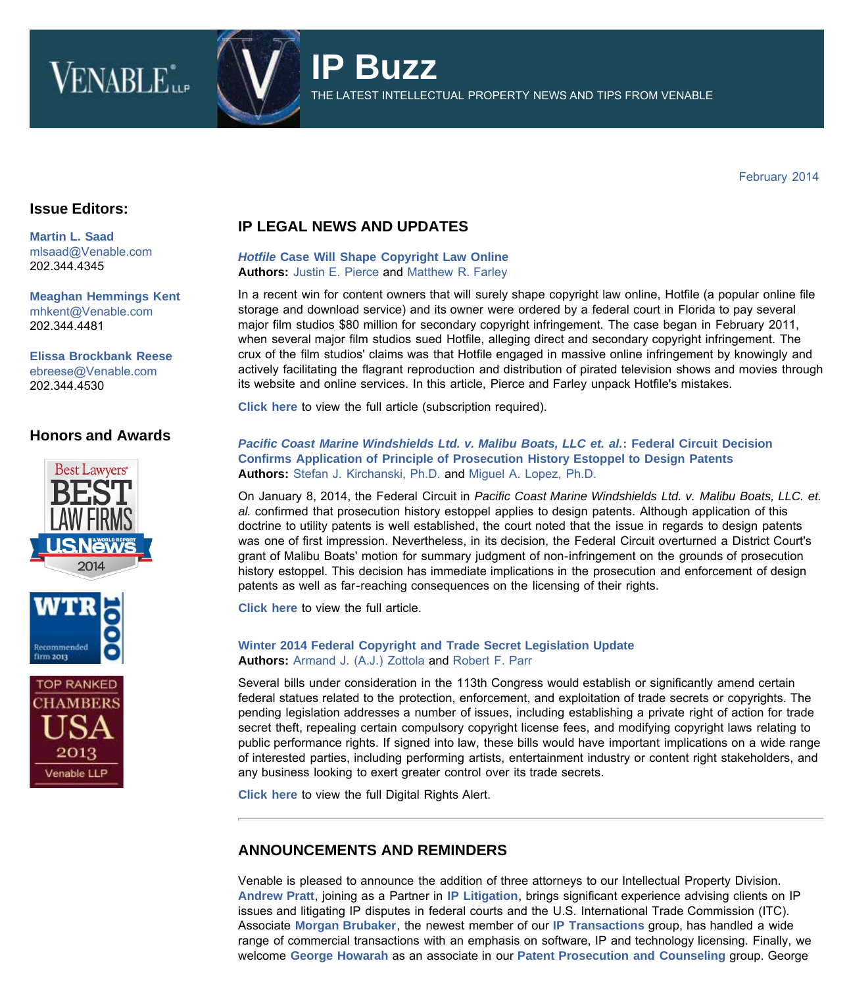# **VENABLE**\*\*\*



THE LATEST INTELLECTUAL PROPERTY NEWS AND TIPS FROM VENABLE

February 2014

## **Issue Editors:**

**[Martin L. Saad](http://www.venable.com/martin-l-saad)** [mlsaad@Venable.com](mailto:mlsaad@Venable.com) 202.344.4345

**[Meaghan Hemmings Kent](http://www.venable.com/Meaghan-H-Kent)** [mhkent@Venable.com](mailto:mhkent@Venable.com) 202.344.4481

**[Elissa Brockbank Reese](http://www.venable.com/Elissa-B-Reese)** [ebreese@Venable.com](mailto:ebreese@Venable.com)  202.344.4530

## **Honors and Awards**





# **IP LEGAL NEWS AND UPDATES**

#### *[Hotfile](http://www.venable.com/hotfile-case-will-shape-copyright-law-online-02-10-2014/)* **[Case Will Shape Copyright Law Online](http://www.venable.com/hotfile-case-will-shape-copyright-law-online-02-10-2014/) Authors:** [Justin E. Pierce](http://www.venable.com/justin-e-pierce/) and [Matthew R. Farley](http://www.venable.com/matthew-r-farley/)

In a recent win for content owners that will surely shape copyright law online, Hotfile (a popular online file storage and download service) and its owner were ordered by a federal court in Florida to pay several major film studios \$80 million for secondary copyright infringement. The case began in February 2011, when several major film studios sued Hotfile, alleging direct and secondary copyright infringement. The crux of the film studios' claims was that Hotfile engaged in massive online infringement by knowingly and actively facilitating the flagrant reproduction and distribution of pirated television shows and movies through its website and online services. In this article, Pierce and Farley unpack Hotfile's mistakes.

**[Click here](http://www.law360.com/articles/507282/hotfile-case-will-shape-copyright-law-online)** to view the full article (subscription required).

#### *[Pacific Coast Marine Windshields Ltd. v. Malibu Boats, LLC et. al.](http://www.venable.com/pacific-coast-marine-windshields-ltd-v-malibu-boats-llc-et-al-federal-circuit-decision-confirms-application-of-principle-of-prosecution-history-estoppel-to-design-patents-02-24-2014/)***[: Federal Circuit Decision](http://www.venable.com/pacific-coast-marine-windshields-ltd-v-malibu-boats-llc-et-al-federal-circuit-decision-confirms-application-of-principle-of-prosecution-history-estoppel-to-design-patents-02-24-2014/) [Confirms Application of Principle of Prosecution History Estoppel to Design Patents](http://www.venable.com/pacific-coast-marine-windshields-ltd-v-malibu-boats-llc-et-al-federal-circuit-decision-confirms-application-of-principle-of-prosecution-history-estoppel-to-design-patents-02-24-2014/) Authors:** [Stefan J. Kirchanski, Ph.D.](http://www.venable.com/Stefan-J-Kirchanski) and [Miguel A. Lopez, Ph.D.](http://www.venable.com/Miguel-A-Lopez)

On January 8, 2014, the Federal Circuit in *Pacific Coast Marine Windshields Ltd. v. Malibu Boats, LLC. et. al.* confirmed that prosecution history estoppel applies to design patents. Although application of this doctrine to utility patents is well established, the court noted that the issue in regards to design patents was one of first impression. Nevertheless, in its decision, the Federal Circuit overturned a District Court's grant of Malibu Boats' motion for summary judgment of non-infringement on the grounds of prosecution history estoppel. This decision has immediate implications in the prosecution and enforcement of design patents as well as far-reaching consequences on the licensing of their rights.

**[Click here](http://www.venable.com/pacific-coast-marine-windshields-ltd-v-malibu-boats-llc-et-al-federal-circuit-decision-confirms-application-of-principle-of-prosecution-history-estoppel-to-design-patents-02-24-2014/)** to view the full article.

#### **[Winter 2014 Federal Copyright and Trade Secret Legislation Update](http://www.venable.com/winter-2014-federal-copyright-and-trade-secret-legislation-update-02-19-2014/) Authors:** [Armand J. \(A.J.\) Zottola](http://www.venable.com/Armand-J-Zottola) and [Robert F. Parr](http://www.venable.com/Robert-F-Parr)

Several bills under consideration in the 113th Congress would establish or significantly amend certain federal statues related to the protection, enforcement, and exploitation of trade secrets or copyrights. The pending legislation addresses a number of issues, including establishing a private right of action for trade secret theft, repealing certain compulsory copyright license fees, and modifying copyright laws relating to public performance rights. If signed into law, these bills would have important implications on a wide range of interested parties, including performing artists, entertainment industry or content right stakeholders, and any business looking to exert greater control over its trade secrets.

**[Click here](http://www.venable.com/winter-2014-federal-copyright-and-trade-secret-legislation-update-02-19-2014/)** to view the full Digital Rights Alert.

## **ANNOUNCEMENTS AND REMINDERS**

Venable is pleased to announce the addition of three attorneys to our Intellectual Property Division. **[Andrew Pratt](http://www.venable.com/andrew-f-pratt/)**, joining as a Partner in **[IP Litigation](http://www.venable.com/Intellectual-Property-Litigation-Practices)**, brings significant experience advising clients on IP issues and litigating IP disputes in federal courts and the U.S. International Trade Commission (ITC). Associate **[Morgan Brubaker](http://www.venable.com/morgan-e-brubaker/)**, the newest member of our **[IP Transactions](http://www.venable.com/Intellectual-Property-Transactions-Practices)** group, has handled a wide range of commercial transactions with an emphasis on software, IP and technology licensing. Finally, we welcome **[George Howarah](http://www.venable.com/george-l-howarah/)** as an associate in our **[Patent Prosecution and Counseling](http://www.venable.com/Patent-Prosecution-Practices)** group. George